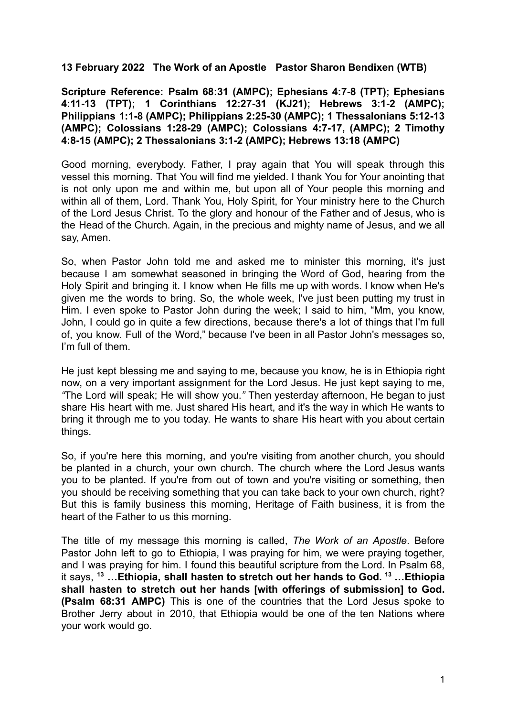## **13 February 2022 The Work of an Apostle Pastor Sharon Bendixen (WTB)**

**Scripture Reference: Psalm 68:31 (AMPC); Ephesians 4:7-8 (TPT); Ephesians 4:11-13 (TPT); 1 Corinthians 12:27-31 (KJ21); Hebrews 3:1-2 (AMPC); Philippians 1:1-8 (AMPC); Philippians 2:25-30 (AMPC); 1 Thessalonians 5:12-13 (AMPC); Colossians 1:28-29 (AMPC); Colossians 4:7-17, (AMPC); 2 Timothy 4:8-15 (AMPC); 2 Thessalonians 3:1-2 (AMPC); Hebrews 13:18 (AMPC)**

Good morning, everybody. Father, I pray again that You will speak through this vessel this morning. That You will find me yielded. I thank You for Your anointing that is not only upon me and within me, but upon all of Your people this morning and within all of them, Lord, Thank You, Holy Spirit, for Your ministry here to the Church of the Lord Jesus Christ. To the glory and honour of the Father and of Jesus, who is the Head of the Church. Again, in the precious and mighty name of Jesus, and we all say, Amen.

So, when Pastor John told me and asked me to minister this morning, it's just because I am somewhat seasoned in bringing the Word of God, hearing from the Holy Spirit and bringing it. I know when He fills me up with words. I know when He's given me the words to bring. So, the whole week, I've just been putting my trust in Him. I even spoke to Pastor John during the week; I said to him, "Mm, you know, John, I could go in quite a few directions, because there's a lot of things that I'm full of, you know. Full of the Word," because I've been in all Pastor John's messages so, I'm full of them.

He just kept blessing me and saying to me, because you know, he is in Ethiopia right now, on a very important assignment for the Lord Jesus. He just kept saying to me, *"*The Lord will speak; He will show you.*"* Then yesterday afternoon, He began to just share His heart with me. Just shared His heart, and it's the way in which He wants to bring it through me to you today. He wants to share His heart with you about certain things.

So, if you're here this morning, and you're visiting from another church, you should be planted in a church, your own church. The church where the Lord Jesus wants you to be planted. If you're from out of town and you're visiting or something, then you should be receiving something that you can take back to your own church, right? But this is family business this morning, Heritage of Faith business, it is from the heart of the Father to us this morning.

The title of my message this morning is called, *The Work of an Apostle*. Before Pastor John left to go to Ethiopia, I was praying for him, we were praying together, and I was praying for him. I found this beautiful scripture from the Lord. In Psalm 68, it says, **<sup>13</sup> …Ethiopia, shall hasten to stretch out her hands to God. <sup>13</sup> …Ethiopia shall hasten to stretch out her hands [with offerings of submission] to God. (Psalm 68:31 AMPC)** This is one of the countries that the Lord Jesus spoke to Brother Jerry about in 2010, that Ethiopia would be one of the ten Nations where your work would go.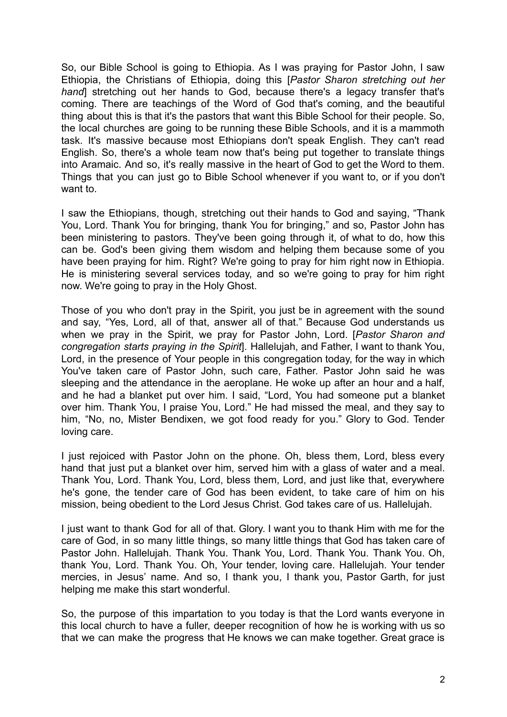So, our Bible School is going to Ethiopia. As I was praying for Pastor John, I saw Ethiopia, the Christians of Ethiopia, doing this [*Pastor Sharon stretching out her hand*] stretching out her hands to God, because there's a legacy transfer that's coming. There are teachings of the Word of God that's coming, and the beautiful thing about this is that it's the pastors that want this Bible School for their people. So, the local churches are going to be running these Bible Schools, and it is a mammoth task. It's massive because most Ethiopians don't speak English. They can't read English. So, there's a whole team now that's being put together to translate things into Aramaic. And so, it's really massive in the heart of God to get the Word to them. Things that you can just go to Bible School whenever if you want to, or if you don't want to.

I saw the Ethiopians, though, stretching out their hands to God and saying, "Thank You, Lord. Thank You for bringing, thank You for bringing," and so, Pastor John has been ministering to pastors. They've been going through it, of what to do, how this can be. God's been giving them wisdom and helping them because some of you have been praying for him. Right? We're going to pray for him right now in Ethiopia. He is ministering several services today, and so we're going to pray for him right now. We're going to pray in the Holy Ghost.

Those of you who don't pray in the Spirit, you just be in agreement with the sound and say, "Yes, Lord, all of that, answer all of that." Because God understands us when we pray in the Spirit, we pray for Pastor John, Lord. [*Pastor Sharon and congregation starts praying in the Spirit*]. Hallelujah, and Father, I want to thank You, Lord, in the presence of Your people in this congregation today, for the way in which You've taken care of Pastor John, such care, Father. Pastor John said he was sleeping and the attendance in the aeroplane. He woke up after an hour and a half, and he had a blanket put over him. I said, "Lord, You had someone put a blanket over him. Thank You, I praise You, Lord." He had missed the meal, and they say to him, "No, no, Mister Bendixen, we got food ready for you." Glory to God. Tender loving care.

I just rejoiced with Pastor John on the phone. Oh, bless them, Lord, bless every hand that just put a blanket over him, served him with a glass of water and a meal. Thank You, Lord. Thank You, Lord, bless them, Lord, and just like that, everywhere he's gone, the tender care of God has been evident, to take care of him on his mission, being obedient to the Lord Jesus Christ. God takes care of us. Hallelujah.

I just want to thank God for all of that. Glory. I want you to thank Him with me for the care of God, in so many little things, so many little things that God has taken care of Pastor John. Hallelujah. Thank You. Thank You, Lord. Thank You. Thank You. Oh, thank You, Lord. Thank You. Oh, Your tender, loving care. Hallelujah. Your tender mercies, in Jesus' name. And so, I thank you, I thank you, Pastor Garth, for just helping me make this start wonderful.

So, the purpose of this impartation to you today is that the Lord wants everyone in this local church to have a fuller, deeper recognition of how he is working with us so that we can make the progress that He knows we can make together. Great grace is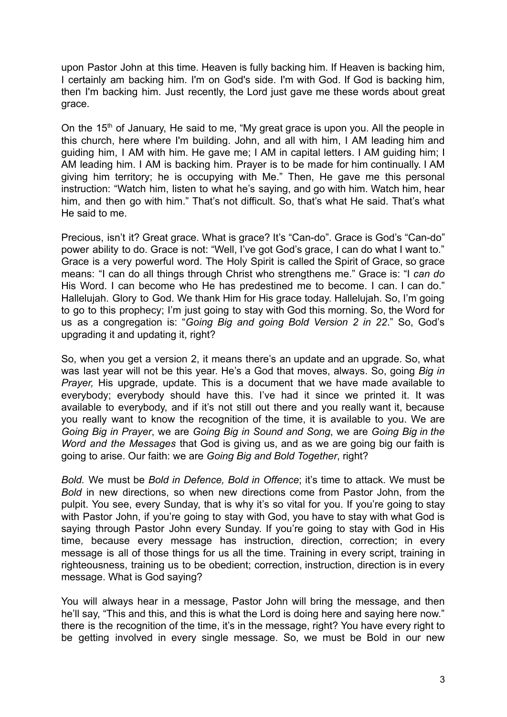upon Pastor John at this time. Heaven is fully backing him. If Heaven is backing him, I certainly am backing him. I'm on God's side. I'm with God. If God is backing him, then I'm backing him. Just recently, the Lord just gave me these words about great grace.

On the 15<sup>th</sup> of January. He said to me, "My great grace is upon you. All the people in this church, here where I'm building. John, and all with him, I AM leading him and guiding him, I AM with him. He gave me; I AM in capital letters. I AM guiding him; I AM leading him. I AM is backing him. Prayer is to be made for him continually. I AM giving him territory; he is occupying with Me." Then, He gave me this personal instruction: "Watch him, listen to what he's saying, and go with him. Watch him, hear him, and then go with him." That's not difficult. So, that's what He said. That's what He said to me.

Precious, isn't it? Great grace. What is grace? It's "Can-do". Grace is God's "Can-do" power ability to do. Grace is not: "Well, I've got God's grace, I can do what I want to." Grace is a very powerful word. The Holy Spirit is called the Spirit of Grace, so grace means: "I can do all things through Christ who strengthens me." Grace is: "I *can do* His Word. I can become who He has predestined me to become. I can. I can do." Hallelujah. Glory to God. We thank Him for His grace today. Hallelujah. So, I'm going to go to this prophecy; I'm just going to stay with God this morning. So, the Word for us as a congregation is: "*Going Big and going Bold Version 2 in 22*." So, God's upgrading it and updating it, right?

So, when you get a version 2, it means there's an update and an upgrade. So, what was last year will not be this year. He's a God that moves, always. So, going *Big in Prayer,* His upgrade, update. This is a document that we have made available to everybody; everybody should have this. I've had it since we printed it. It was available to everybody, and if it's not still out there and you really want it, because you really want to know the recognition of the time, it is available to you. We are *Going Big in Prayer*, we are *Going Big in Sound and Song*, we are *Going Big in the Word and the Messages* that God is giving us, and as we are going big our faith is going to arise. Our faith: we are *Going Big and Bold Together*, right?

*Bold.* We must be *Bold in Defence, Bold in Offence*; it's time to attack. We must be *Bold* in new directions, so when new directions come from Pastor John, from the pulpit. You see, every Sunday, that is why it's so vital for you. If you're going to stay with Pastor John, if you're going to stay with God, you have to stay with what God is saying through Pastor John every Sunday. If you're going to stay with God in His time, because every message has instruction, direction, correction; in every message is all of those things for us all the time. Training in every script, training in righteousness, training us to be obedient; correction, instruction, direction is in every message. What is God saying?

You will always hear in a message, Pastor John will bring the message, and then he'll say, "This and this, and this is what the Lord is doing here and saying here now." there is the recognition of the time, it's in the message, right? You have every right to be getting involved in every single message. So, we must be Bold in our new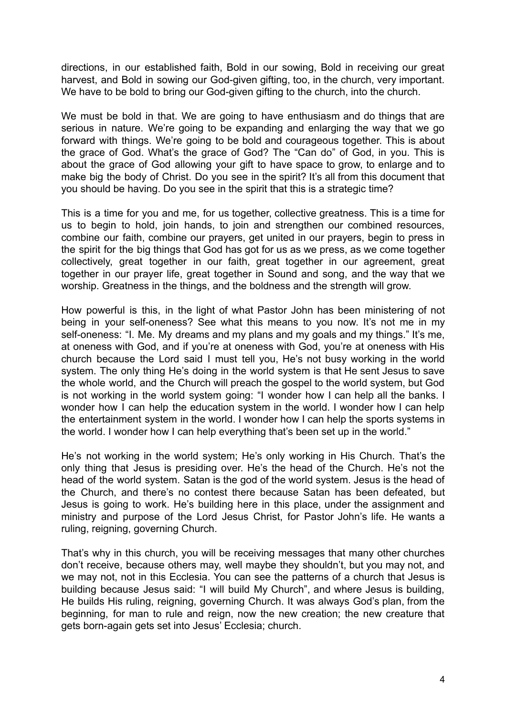directions, in our established faith, Bold in our sowing, Bold in receiving our great harvest, and Bold in sowing our God-given gifting, too, in the church, very important. We have to be bold to bring our God-given gifting to the church, into the church.

We must be bold in that. We are going to have enthusiasm and do things that are serious in nature. We're going to be expanding and enlarging the way that we go forward with things. We're going to be bold and courageous together. This is about the grace of God. What's the grace of God? The "Can do" of God, in you. This is about the grace of God allowing your gift to have space to grow, to enlarge and to make big the body of Christ. Do you see in the spirit? It's all from this document that you should be having. Do you see in the spirit that this is a strategic time?

This is a time for you and me, for us together, collective greatness. This is a time for us to begin to hold, join hands, to join and strengthen our combined resources, combine our faith, combine our prayers, get united in our prayers, begin to press in the spirit for the big things that God has got for us as we press, as we come together collectively, great together in our faith, great together in our agreement, great together in our prayer life, great together in Sound and song, and the way that we worship. Greatness in the things, and the boldness and the strength will grow.

How powerful is this, in the light of what Pastor John has been ministering of not being in your self-oneness? See what this means to you now. It's not me in my self-oneness: "I. Me. My dreams and my plans and my goals and my things." It's me, at oneness with God, and if you're at oneness with God, you're at oneness with His church because the Lord said I must tell you, He's not busy working in the world system. The only thing He's doing in the world system is that He sent Jesus to save the whole world, and the Church will preach the gospel to the world system, but God is not working in the world system going: "I wonder how I can help all the banks. I wonder how I can help the education system in the world. I wonder how I can help the entertainment system in the world. I wonder how I can help the sports systems in the world. I wonder how I can help everything that's been set up in the world."

He's not working in the world system; He's only working in His Church. That's the only thing that Jesus is presiding over. He's the head of the Church. He's not the head of the world system. Satan is the god of the world system. Jesus is the head of the Church, and there's no contest there because Satan has been defeated, but Jesus is going to work. He's building here in this place, under the assignment and ministry and purpose of the Lord Jesus Christ, for Pastor John's life. He wants a ruling, reigning, governing Church.

That's why in this church, you will be receiving messages that many other churches don't receive, because others may, well maybe they shouldn't, but you may not, and we may not, not in this Ecclesia. You can see the patterns of a church that Jesus is building because Jesus said: "I will build My Church", and where Jesus is building, He builds His ruling, reigning, governing Church. It was always God's plan, from the beginning, for man to rule and reign, now the new creation; the new creature that gets born-again gets set into Jesus' Ecclesia; church.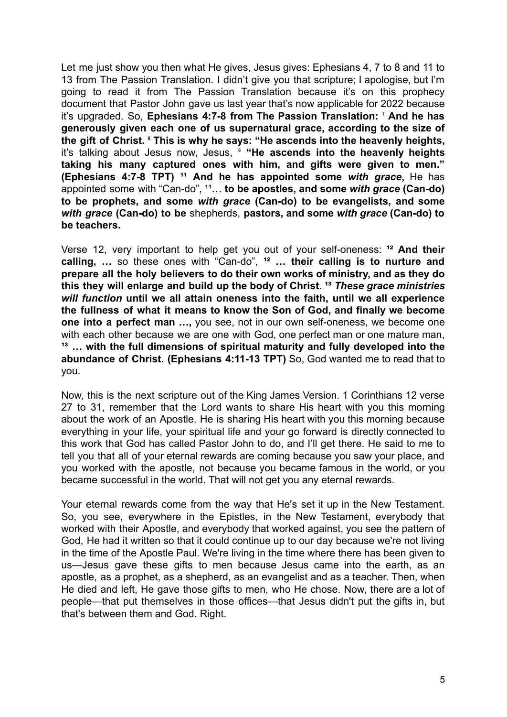Let me just show you then what He gives, Jesus gives: Ephesians 4, 7 to 8 and 11 to 13 from The Passion Translation. I didn't give you that scripture; I apologise, but I'm going to read it from The Passion Translation because it's on this prophecy document that Pastor John gave us last year that's now applicable for 2022 because it's upgraded. So, **Ephesians 4:7-8 from The Passion Translation:** ⁷ **And he has generously given each one of us supernatural grace, according to the size of the gift of Christ.** ⁸ **This is why he says: "He ascends into the heavenly heights,** it's talking about Jesus now, Jesus, ⁸ **"He ascends into the heavenly heights taking his many captured ones with him, and gifts were given to men." (Ephesians 4:7-8 TPT)** <sup>11</sup> And he has appointed some with grace, He has appointed some with "Can-do", <sup>11</sup>... **to be apostles, and some with grace (Can-do) to be prophets, and some** *with grace* **(Can-do) to be evangelists, and some** *with grace* **(Can-do) to be** shepherds, **pastors, and some** *with grace* **(Can-do) to be teachers.**

Verse 12, very important to help get you out of your self-oneness: <sup>12</sup> And their **calling, …** so these ones with "Can-do", **¹² … their calling is to nurture and prepare all the holy believers to do their own works of ministry, and as they do this they will enlarge and build up the body of Christ. ¹³** *These grace ministries will function* **until we all attain oneness into the faith, until we all experience the fullness of what it means to know the Son of God, and finally we become one into a perfect man …,** you see, not in our own self-oneness, we become one with each other because we are one with God, one perfect man or one mature man, **¹³ … with the full dimensions of spiritual maturity and fully developed into the abundance of Christ. (Ephesians 4:11-13 TPT)** So, God wanted me to read that to you.

Now, this is the next scripture out of the King James Version. 1 Corinthians 12 verse 27 to 31, remember that the Lord wants to share His heart with you this morning about the work of an Apostle. He is sharing His heart with you this morning because everything in your life, your spiritual life and your go forward is directly connected to this work that God has called Pastor John to do, and I'll get there. He said to me to tell you that all of your eternal rewards are coming because you saw your place, and you worked with the apostle, not because you became famous in the world, or you became successful in the world. That will not get you any eternal rewards.

Your eternal rewards come from the way that He's set it up in the New Testament. So, you see, everywhere in the Epistles, in the New Testament, everybody that worked with their Apostle, and everybody that worked against, you see the pattern of God, He had it written so that it could continue up to our day because we're not living in the time of the Apostle Paul. We're living in the time where there has been given to us—Jesus gave these gifts to men because Jesus came into the earth, as an apostle, as a prophet, as a shepherd, as an evangelist and as a teacher. Then, when He died and left, He gave those gifts to men, who He chose. Now, there are a lot of people—that put themselves in those offices—that Jesus didn't put the gifts in, but that's between them and God. Right.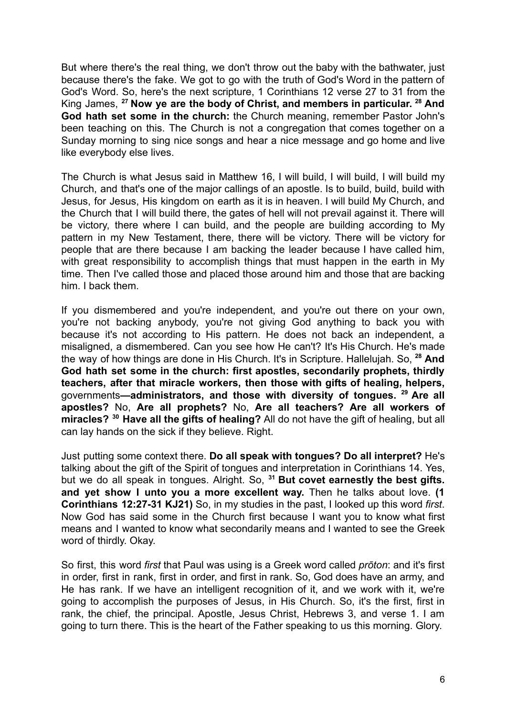But where there's the real thing, we don't throw out the baby with the bathwater, just because there's the fake. We got to go with the truth of God's Word in the pattern of God's Word. So, here's the next scripture, 1 Corinthians 12 verse 27 to 31 from the King James, **<sup>27</sup> Now ye are the body of Christ, and members in particular. <sup>28</sup> And God hath set some in the church:** the Church meaning, remember Pastor John's been teaching on this. The Church is not a congregation that comes together on a Sunday morning to sing nice songs and hear a nice message and go home and live like everybody else lives.

The Church is what Jesus said in Matthew 16, I will build, I will build, I will build my Church, and that's one of the major callings of an apostle. Is to build, build, build with Jesus, for Jesus, His kingdom on earth as it is in heaven. I will build My Church, and the Church that I will build there, the gates of hell will not prevail against it. There will be victory, there where I can build, and the people are building according to My pattern in my New Testament, there, there will be victory. There will be victory for people that are there because I am backing the leader because I have called him, with great responsibility to accomplish things that must happen in the earth in My time. Then I've called those and placed those around him and those that are backing him. I back them.

If you dismembered and you're independent, and you're out there on your own, you're not backing anybody, you're not giving God anything to back you with because it's not according to His pattern. He does not back an independent, a misaligned, a dismembered. Can you see how He can't? It's His Church. He's made the way of how things are done in His Church. It's in Scripture. Hallelujah. So, **<sup>28</sup> And God hath set some in the church: first apostles, secondarily prophets, thirdly teachers, after that miracle workers, then those with gifts of healing, helpers,** governments**—administrators, and those with diversity of tongues. <sup>29</sup> Are all apostles?** No, **Are all prophets?** No, **Are all teachers? Are all workers of miracles? <sup>30</sup> Have all the gifts of healing?** All do not have the gift of healing, but all can lay hands on the sick if they believe. Right.

Just putting some context there. **Do all speak with tongues? Do all interpret?** He's talking about the gift of the Spirit of tongues and interpretation in Corinthians 14. Yes, but we do all speak in tongues. Alright. So, **<sup>31</sup> But covet earnestly the best gifts. and yet show I unto you a more excellent way.** Then he talks about love. **(1 Corinthians 12:27-31 KJ21)** So, in my studies in the past, I looked up this word *first*. Now God has said some in the Church first because I want you to know what first means and I wanted to know what secondarily means and I wanted to see the Greek word of thirdly. Okay.

So first, this word *first* that Paul was using is a Greek word called *prōton*: and it's first in order, first in rank, first in order, and first in rank. So, God does have an army, and He has rank. If we have an intelligent recognition of it, and we work with it, we're going to accomplish the purposes of Jesus, in His Church. So, it's the first, first in rank, the chief, the principal. Apostle, Jesus Christ, Hebrews 3, and verse 1. I am going to turn there. This is the heart of the Father speaking to us this morning. Glory.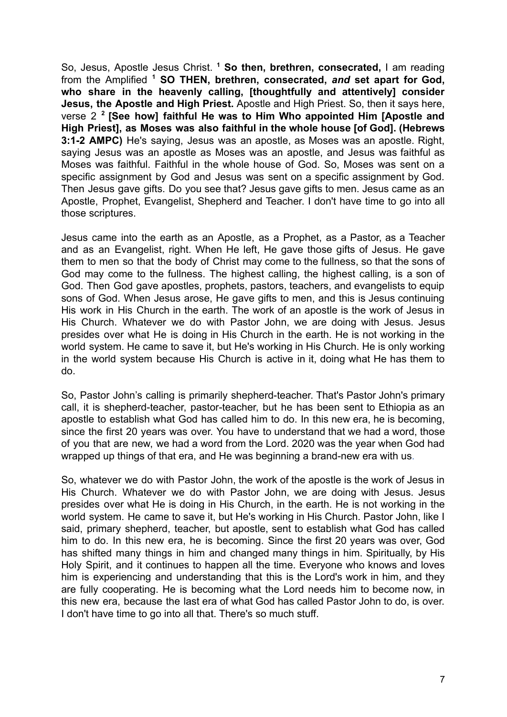So, Jesus, Apostle Jesus Christ. **<sup>1</sup> So then, brethren, consecrated,** I am reading from the Amplified **<sup>1</sup> SO THEN, brethren, consecrated,** *and* **set apart for God, who share in the heavenly calling, [thoughtfully and attentively] consider Jesus, the Apostle and High Priest.** Apostle and High Priest. So, then it says here, verse 2 **2 [See how] faithful He was to Him Who appointed Him [Apostle and High Priest], as Moses was also faithful in the whole house [of God]. (Hebrews 3:1-2 AMPC)** He's saying, Jesus was an apostle, as Moses was an apostle. Right, saying Jesus was an apostle as Moses was an apostle, and Jesus was faithful as Moses was faithful. Faithful in the whole house of God. So, Moses was sent on a specific assignment by God and Jesus was sent on a specific assignment by God. Then Jesus gave gifts. Do you see that? Jesus gave gifts to men. Jesus came as an Apostle, Prophet, Evangelist, Shepherd and Teacher. I don't have time to go into all those scriptures.

Jesus came into the earth as an Apostle, as a Prophet, as a Pastor, as a Teacher and as an Evangelist, right. When He left, He gave those gifts of Jesus. He gave them to men so that the body of Christ may come to the fullness, so that the sons of God may come to the fullness. The highest calling, the highest calling, is a son of God. Then God gave apostles, prophets, pastors, teachers, and evangelists to equip sons of God. When Jesus arose, He gave gifts to men, and this is Jesus continuing His work in His Church in the earth. The work of an apostle is the work of Jesus in His Church. Whatever we do with Pastor John, we are doing with Jesus. Jesus presides over what He is doing in His Church in the earth. He is not working in the world system. He came to save it, but He's working in His Church. He is only working in the world system because His Church is active in it, doing what He has them to do.

So, Pastor John's calling is primarily shepherd-teacher. That's Pastor John's primary call, it is shepherd-teacher, pastor-teacher, but he has been sent to Ethiopia as an apostle to establish what God has called him to do. In this new era, he is becoming, since the first 20 years was over. You have to understand that we had a word, those of you that are new, we had a word from the Lord. 2020 was the year when God had wrapped up things of that era, and He was beginning a brand-new era with us.

So, whatever we do with Pastor John, the work of the apostle is the work of Jesus in His Church. Whatever we do with Pastor John, we are doing with Jesus. Jesus presides over what He is doing in His Church, in the earth. He is not working in the world system. He came to save it, but He's working in His Church. Pastor John, like I said, primary shepherd, teacher, but apostle, sent to establish what God has called him to do. In this new era, he is becoming. Since the first 20 years was over, God has shifted many things in him and changed many things in him. Spiritually, by His Holy Spirit, and it continues to happen all the time. Everyone who knows and loves him is experiencing and understanding that this is the Lord's work in him, and they are fully cooperating. He is becoming what the Lord needs him to become now, in this new era, because the last era of what God has called Pastor John to do, is over. I don't have time to go into all that. There's so much stuff.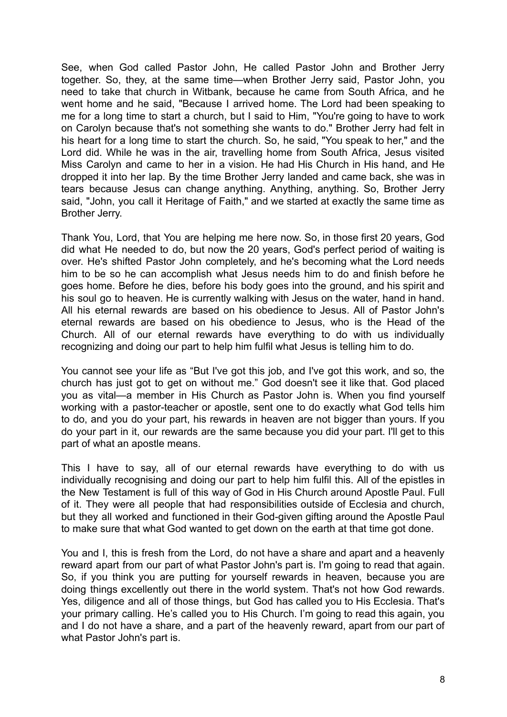See, when God called Pastor John, He called Pastor John and Brother Jerry together. So, they, at the same time—when Brother Jerry said, Pastor John, you need to take that church in Witbank, because he came from South Africa, and he went home and he said, "Because I arrived home. The Lord had been speaking to me for a long time to start a church, but I said to Him, "You're going to have to work on Carolyn because that's not something she wants to do." Brother Jerry had felt in his heart for a long time to start the church. So, he said, "You speak to her," and the Lord did. While he was in the air, travelling home from South Africa, Jesus visited Miss Carolyn and came to her in a vision. He had His Church in His hand, and He dropped it into her lap. By the time Brother Jerry landed and came back, she was in tears because Jesus can change anything. Anything, anything. So, Brother Jerry said, "John, you call it Heritage of Faith," and we started at exactly the same time as Brother Jerry.

Thank You, Lord, that You are helping me here now. So, in those first 20 years, God did what He needed to do, but now the 20 years, God's perfect period of waiting is over. He's shifted Pastor John completely, and he's becoming what the Lord needs him to be so he can accomplish what Jesus needs him to do and finish before he goes home. Before he dies, before his body goes into the ground, and his spirit and his soul go to heaven. He is currently walking with Jesus on the water, hand in hand. All his eternal rewards are based on his obedience to Jesus. All of Pastor John's eternal rewards are based on his obedience to Jesus, who is the Head of the Church. All of our eternal rewards have everything to do with us individually recognizing and doing our part to help him fulfil what Jesus is telling him to do.

You cannot see your life as "But I've got this job, and I've got this work, and so, the church has just got to get on without me." God doesn't see it like that. God placed you as vital—a member in His Church as Pastor John is. When you find yourself working with a pastor-teacher or apostle, sent one to do exactly what God tells him to do, and you do your part, his rewards in heaven are not bigger than yours. If you do your part in it, our rewards are the same because you did your part. I'll get to this part of what an apostle means.

This I have to say, all of our eternal rewards have everything to do with us individually recognising and doing our part to help him fulfil this. All of the epistles in the New Testament is full of this way of God in His Church around Apostle Paul. Full of it. They were all people that had responsibilities outside of Ecclesia and church, but they all worked and functioned in their God-given gifting around the Apostle Paul to make sure that what God wanted to get down on the earth at that time got done.

You and I, this is fresh from the Lord, do not have a share and apart and a heavenly reward apart from our part of what Pastor John's part is. I'm going to read that again. So, if you think you are putting for yourself rewards in heaven, because you are doing things excellently out there in the world system. That's not how God rewards. Yes, diligence and all of those things, but God has called you to His Ecclesia. That's your primary calling. He's called you to His Church. I'm going to read this again, you and I do not have a share, and a part of the heavenly reward, apart from our part of what Pastor John's part is.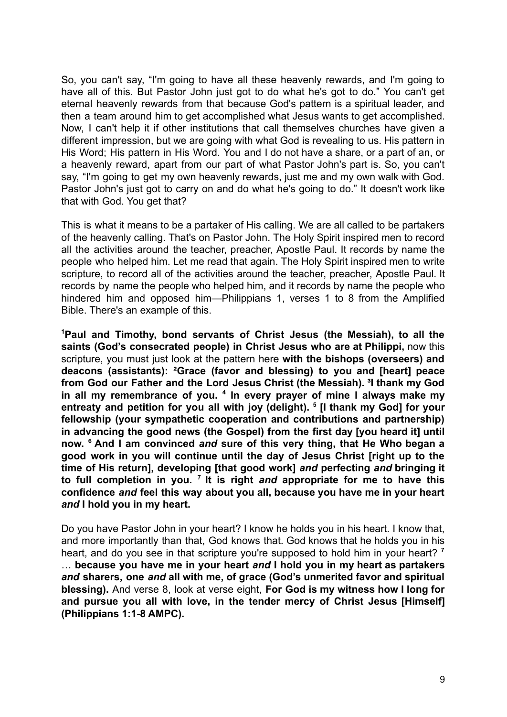So, you can't say, "I'm going to have all these heavenly rewards, and I'm going to have all of this. But Pastor John just got to do what he's got to do." You can't get eternal heavenly rewards from that because God's pattern is a spiritual leader, and then a team around him to get accomplished what Jesus wants to get accomplished. Now, I can't help it if other institutions that call themselves churches have given a different impression, but we are going with what God is revealing to us. His pattern in His Word; His pattern in His Word. You and I do not have a share, or a part of an, or a heavenly reward, apart from our part of what Pastor John's part is. So, you can't say, "I'm going to get my own heavenly rewards, just me and my own walk with God. Pastor John's just got to carry on and do what he's going to do." It doesn't work like that with God. You get that?

This is what it means to be a partaker of His calling. We are all called to be partakers of the heavenly calling. That's on Pastor John. The Holy Spirit inspired men to record all the activities around the teacher, preacher, Apostle Paul. It records by name the people who helped him. Let me read that again. The Holy Spirit inspired men to write scripture, to record all of the activities around the teacher, preacher, Apostle Paul. It records by name the people who helped him, and it records by name the people who hindered him and opposed him—Philippians 1, verses 1 to 8 from the Amplified Bible. There's an example of this.

**<sup>1</sup>Paul and Timothy, bond servants of Christ Jesus (the Messiah), to all the saints (God's consecrated people) in Christ Jesus who are at Philippi,** now this scripture, you must just look at the pattern here **with the bishops (overseers) and deacons (assistants): ²Grace (favor and blessing) to you and [heart] peace from God our Father and the Lord Jesus Christ (the Messiah). ³I thank my God in all my remembrance of you. <sup>4</sup> In every prayer of mine I always make my entreaty and petition for you all with joy (delight). <sup>5</sup> [I thank my God] for your fellowship (your sympathetic cooperation and contributions and partnership) in advancing the good news (the Gospel) from the first day [you heard it] until now. <sup>6</sup> And I am convinced** *and* **sure of this very thing, that He Who began a good work in you will continue until the day of Jesus Christ [right up to the time of His return], developing [that good work]** *and* **perfecting** *and* **bringing it to full completion in you. <sup>7</sup> It is right** *and* **appropriate for me to have this confidence** *and* **feel this way about you all, because you have me in your heart** *and* **I hold you in my heart.**

Do you have Pastor John in your heart? I know he holds you in his heart. I know that, and more importantly than that, God knows that. God knows that he holds you in his heart, and do you see in that scripture you're supposed to hold him in your heart? **<sup>7</sup>** … **because you have me in your heart** *and* **I hold you in my heart as partakers** *and* **sharers, one** *and* **all with me, of grace (God's unmerited favor and spiritual blessing).** And verse 8, look at verse eight, **For God is my witness how I long for and pursue you all with love, in the tender mercy of Christ Jesus [Himself] (Philippians 1:1-8 AMPC).**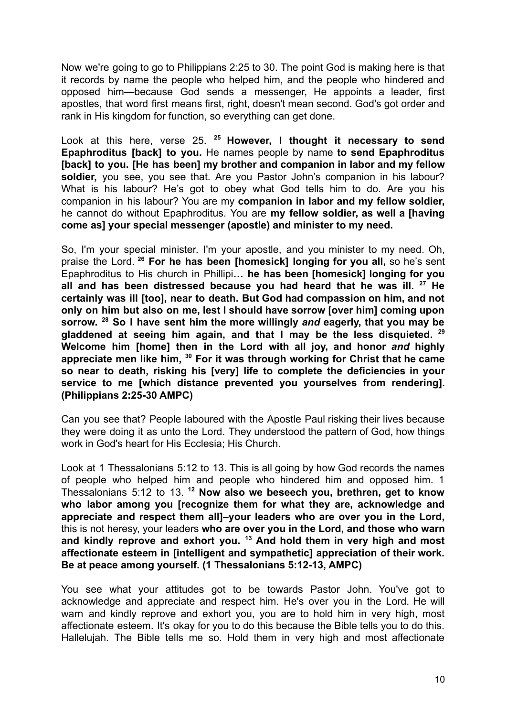Now we're going to go to Philippians 2:25 to 30. The point God is making here is that it records by name the people who helped him, and the people who hindered and opposed him—because God sends a messenger, He appoints a leader, first apostles, that word first means first, right, doesn't mean second. God's got order and rank in His kingdom for function, so everything can get done.

Look at this here, verse 25. **<sup>25</sup> However, I thought it necessary to send Epaphroditus [back] to you.** He names people by name **to send Epaphroditus [back] to you. [He has been] my brother and companion in labor and my fellow soldier,** you see, you see that. Are you Pastor John's companion in his labour? What is his labour? He's got to obey what God tells him to do. Are you his companion in his labour? You are my **companion in labor and my fellow soldier,** he cannot do without Epaphroditus. You are **my fellow soldier, as well a [having come as] your special messenger (apostle) and minister to my need.**

So, I'm your special minister. I'm your apostle, and you minister to my need. Oh, praise the Lord. **<sup>26</sup> For he has been [homesick] longing for you all,** so he's sent Epaphroditus to His church in Phillipi**… he has been [homesick] longing for you all and has been distressed because you had heard that he was ill. <sup>27</sup> He certainly was ill [too], near to death. But God had compassion on him, and not only on him but also on me, lest I should have sorrow [over him] coming upon sorrow. <sup>28</sup> So I have sent him the more willingly** *and* **eagerly, that you may be gladdened at seeing him again, and that I may be the less disquieted. <sup>29</sup> Welcome him [home] then in the Lord with all joy, and honor** *and* **highly appreciate men like him, <sup>30</sup> For it was through working for Christ that he came so near to death, risking his [very] life to complete the deficiencies in your service to me [which distance prevented you yourselves from rendering]. (Philippians 2:25-30 AMPC)**

Can you see that? People laboured with the Apostle Paul risking their lives because they were doing it as unto the Lord. They understood the pattern of God, how things work in God's heart for His Ecclesia; His Church.

Look at 1 Thessalonians 5:12 to 13. This is all going by how God records the names of people who helped him and people who hindered him and opposed him. 1 Thessalonians 5:12 to 13. **<sup>12</sup> Now also we beseech you, brethren, get to know who labor among you [recognize them for what they are, acknowledge and appreciate and respect them all]–your leaders who are over you in the Lord,** this is not heresy, your leaders **who are over you in the Lord, and those who warn and kindly reprove and exhort you. <sup>13</sup> And hold them in very high and most affectionate esteem in [intelligent and sympathetic] appreciation of their work. Be at peace among yourself. (1 Thessalonians 5:12-13, AMPC)**

You see what your attitudes got to be towards Pastor John. You've got to acknowledge and appreciate and respect him. He's over you in the Lord. He will warn and kindly reprove and exhort you, you are to hold him in very high, most affectionate esteem. It's okay for you to do this because the Bible tells you to do this. Hallelujah. The Bible tells me so. Hold them in very high and most affectionate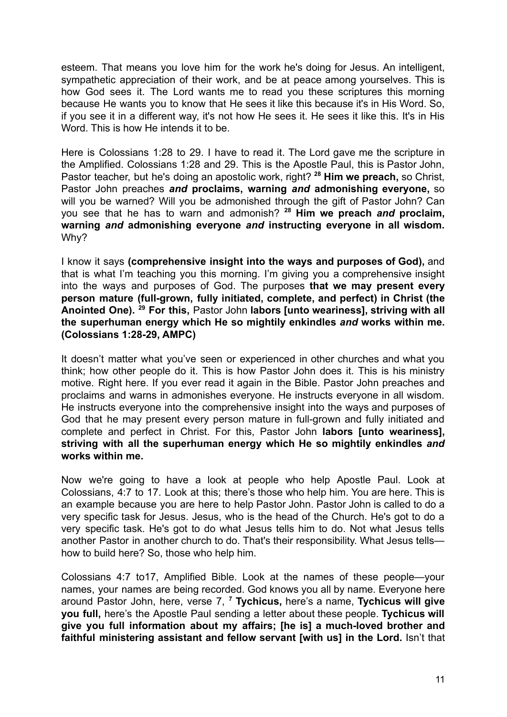esteem. That means you love him for the work he's doing for Jesus. An intelligent, sympathetic appreciation of their work, and be at peace among yourselves. This is how God sees it. The Lord wants me to read you these scriptures this morning because He wants you to know that He sees it like this because it's in His Word. So, if you see it in a different way, it's not how He sees it. He sees it like this. It's in His Word. This is how He intends it to be.

Here is Colossians 1:28 to 29. I have to read it. The Lord gave me the scripture in the Amplified. Colossians 1:28 and 29. This is the Apostle Paul, this is Pastor John, Pastor teacher, but he's doing an apostolic work, right? **<sup>28</sup> Him we preach,** so Christ, Pastor John preaches *and* **proclaims, warning** *and* **admonishing everyone,** so will you be warned? Will you be admonished through the gift of Pastor John? Can you see that he has to warn and admonish? **<sup>28</sup> Him we preach** *and* **proclaim, warning** *and* **admonishing everyone** *and* **instructing everyone in all wisdom.** Why?

I know it says **(comprehensive insight into the ways and purposes of God),** and that is what I'm teaching you this morning. I'm giving you a comprehensive insight into the ways and purposes of God. The purposes **that we may present every person mature (full-grown, fully initiated, complete, and perfect) in Christ (the Anointed One). <sup>29</sup> For this,** Pastor John **labors [unto weariness], striving with all the superhuman energy which He so mightily enkindles** *and* **works within me. (Colossians 1:28-29, AMPC)**

It doesn't matter what you've seen or experienced in other churches and what you think; how other people do it. This is how Pastor John does it. This is his ministry motive. Right here. If you ever read it again in the Bible. Pastor John preaches and proclaims and warns in admonishes everyone. He instructs everyone in all wisdom. He instructs everyone into the comprehensive insight into the ways and purposes of God that he may present every person mature in full-grown and fully initiated and complete and perfect in Christ. For this, Pastor John **labors [unto weariness], striving with all the superhuman energy which He so mightily enkindles** *and* **works within me.**

Now we're going to have a look at people who help Apostle Paul. Look at Colossians, 4:7 to 17. Look at this; there's those who help him. You are here. This is an example because you are here to help Pastor John. Pastor John is called to do a very specific task for Jesus. Jesus, who is the head of the Church. He's got to do a very specific task. He's got to do what Jesus tells him to do. Not what Jesus tells another Pastor in another church to do. That's their responsibility. What Jesus tells how to build here? So, those who help him.

Colossians 4:7 to17, Amplified Bible. Look at the names of these people—your names, your names are being recorded. God knows you all by name. Everyone here around Pastor John, here, verse 7, **<sup>7</sup> Tychicus,** here's a name, **Tychicus will give you full,** here's the Apostle Paul sending a letter about these people. **Tychicus will give you full information about my affairs; [he is] a much-loved brother and faithful ministering assistant and fellow servant [with us] in the Lord.** Isn't that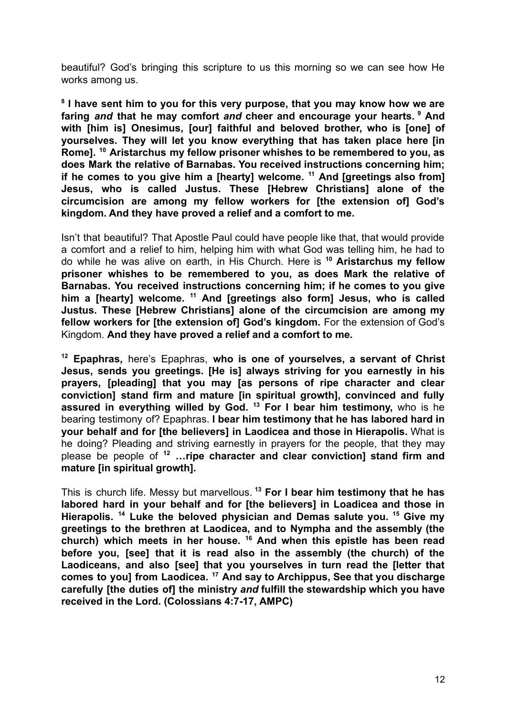beautiful? God's bringing this scripture to us this morning so we can see how He works among us.

**8 I have sent him to you for this very purpose, that you may know how we are faring** *and* **that he may comfort** *and* **cheer and encourage your hearts. <sup>9</sup> And with [him is] Onesimus, [our] faithful and beloved brother, who is [one] of yourselves. They will let you know everything that has taken place here [in Rome]. <sup>10</sup> Aristarchus my fellow prisoner whishes to be remembered to you, as does Mark the relative of Barnabas. You received instructions concerning him; if he comes to you give him a [hearty] welcome. <sup>11</sup> And [greetings also from] Jesus, who is called Justus. These [Hebrew Christians] alone of the circumcision are among my fellow workers for [the extension of] God's kingdom. And they have proved a relief and a comfort to me.**

Isn't that beautiful? That Apostle Paul could have people like that, that would provide a comfort and a relief to him, helping him with what God was telling him, he had to do while he was alive on earth, in His Church. Here is **<sup>10</sup> Aristarchus my fellow prisoner whishes to be remembered to you, as does Mark the relative of Barnabas. You received instructions concerning him; if he comes to you give him a [hearty] welcome. <sup>11</sup> And [greetings also form] Jesus, who is called Justus. These [Hebrew Christians] alone of the circumcision are among my fellow workers for [the extension of] God's kingdom.** For the extension of God's Kingdom. **And they have proved a relief and a comfort to me.**

**<sup>12</sup> Epaphras,** here's Epaphras, **who is one of yourselves, a servant of Christ Jesus, sends you greetings. [He is] always striving for you earnestly in his prayers, [pleading] that you may [as persons of ripe character and clear conviction] stand firm and mature [in spiritual growth], convinced and fully assured in everything willed by God. <sup>13</sup> For I bear him testimony,** who is he bearing testimony of? Epaphras. **I bear him testimony that he has labored hard in your behalf and for [the believers] in Laodicea and those in Hierapolis.** What is he doing? Pleading and striving earnestly in prayers for the people, that they may please be people of **<sup>12</sup> …ripe character and clear conviction] stand firm and mature [in spiritual growth].**

This is church life. Messy but marvellous. **<sup>13</sup> For I bear him testimony that he has labored hard in your behalf and for [the believers] in Loadicea and those in Hierapolis. <sup>14</sup> Luke the beloved physician and Demas salute you. <sup>15</sup> Give my greetings to the brethren at Laodicea, and to Nympha and the assembly (the church) which meets in her house. <sup>16</sup> And when this epistle has been read before you, [see] that it is read also in the assembly (the church) of the Laodiceans, and also [see] that you yourselves in turn read the [letter that comes to you] from Laodicea. <sup>17</sup> And say to Archippus, See that you discharge carefully [the duties of] the ministry** *and* **fulfill the stewardship which you have received in the Lord. (Colossians 4:7-17, AMPC)**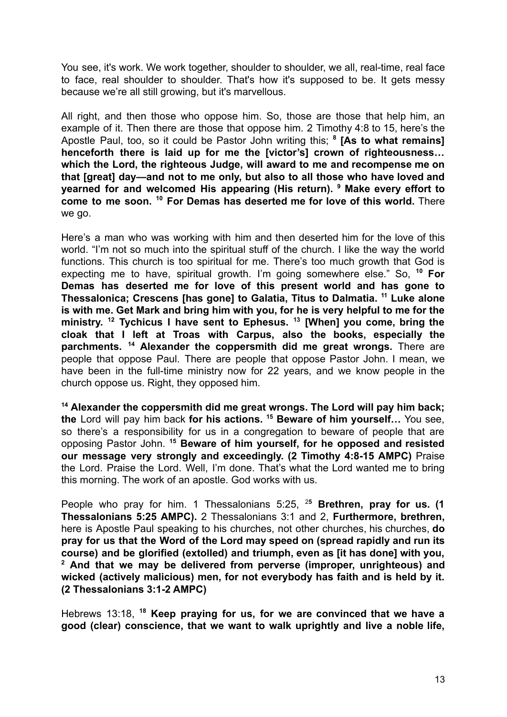You see. it's work. We work together, shoulder to shoulder, we all, real-time, real face to face, real shoulder to shoulder. That's how it's supposed to be. It gets messy because we're all still growing, but it's marvellous.

All right, and then those who oppose him. So, those are those that help him, an example of it. Then there are those that oppose him. 2 Timothy 4:8 to 15, here's the Apostle Paul, too, so it could be Pastor John writing this; **<sup>8</sup> [As to what remains] henceforth there is laid up for me the [victor's] crown of righteousness… which the Lord, the righteous Judge, will award to me and recompense me on that [great] day—and not to me only, but also to all those who have loved and yearned for and welcomed His appearing (His return). <sup>9</sup> Make every effort to come to me soon. <sup>10</sup> For Demas has deserted me for love of this world.** There we go.

Here's a man who was working with him and then deserted him for the love of this world. "I'm not so much into the spiritual stuff of the church. I like the way the world functions. This church is too spiritual for me. There's too much growth that God is expecting me to have, spiritual growth. I'm going somewhere else." So, **<sup>10</sup> For Demas has deserted me for love of this present world and has gone to Thessalonica; Crescens [has gone] to Galatia, Titus to Dalmatia. <sup>11</sup> Luke alone is with me. Get Mark and bring him with you, for he is very helpful to me for the ministry. <sup>12</sup> Tychicus I have sent to Ephesus. <sup>13</sup> [When] you come, bring the cloak that I left at Troas with Carpus, also the books, especially the parchments. <sup>14</sup> Alexander the coppersmith did me great wrongs.** There are people that oppose Paul. There are people that oppose Pastor John. I mean, we have been in the full-time ministry now for 22 years, and we know people in the church oppose us. Right, they opposed him.

**<sup>14</sup> Alexander the coppersmith did me great wrongs. The Lord will pay him back; the** Lord will pay him back **for his actions. <sup>15</sup> Beware of him yourself…** You see, so there's a responsibility for us in a congregation to beware of people that are opposing Pastor John. **<sup>15</sup> Beware of him yourself, for he opposed and resisted our message very strongly and exceedingly. (2 Timothy 4:8-15 AMPC)** Praise the Lord. Praise the Lord. Well, I'm done. That's what the Lord wanted me to bring this morning. The work of an apostle. God works with us.

People who pray for him. 1 Thessalonians 5:25, <sup>2</sup>**<sup>5</sup> Brethren, pray for us. (1 Thessalonians 5:25 AMPC).** 2 Thessalonians 3:1 and 2, **Furthermore, brethren,** here is Apostle Paul speaking to his churches, not other churches, his churches, **do pray for us that the Word of the Lord may speed on (spread rapidly and run its course) and be glorified (extolled) and triumph, even as [it has done] with you, <sup>2</sup> And that we may be delivered from perverse (improper, unrighteous) and wicked (actively malicious) men, for not everybody has faith and is held by it. (2 Thessalonians 3:1-2 AMPC)**

Hebrews 13:18, **<sup>18</sup> Keep praying for us, for we are convinced that we have a good (clear) conscience, that we want to walk uprightly and live a noble life,**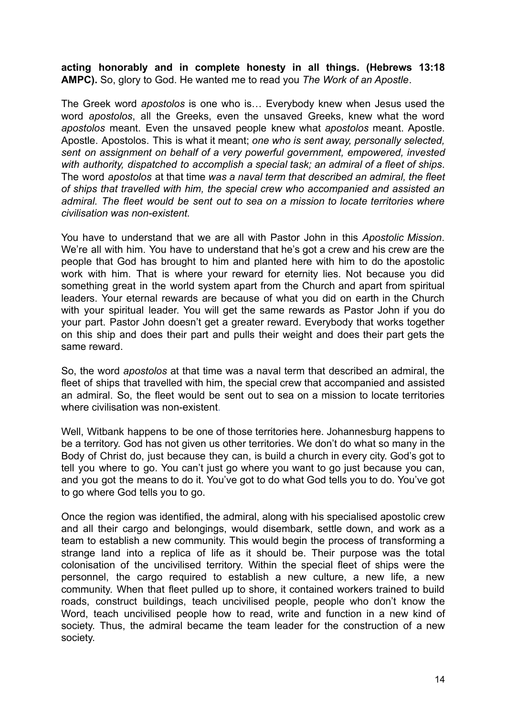**acting honorably and in complete honesty in all things. (Hebrews 13:18 AMPC).** So, glory to God. He wanted me to read you *The Work of an Apostle*.

The Greek word *apostolos* is one who is… Everybody knew when Jesus used the word *apostolos*, all the Greeks, even the unsaved Greeks, knew what the word *apostolos* meant. Even the unsaved people knew what *apostolos* meant. Apostle. Apostle. Apostolos. This is what it meant; *one who is sent away, personally selected, sent on assignment on behalf of a very powerful government, empowered, invested with authority, dispatched to accomplish a special task; an admiral of a fleet of ships*. The word *apostolos* at that time *was a naval term that described an admiral, the fleet of ships that travelled with him, the special crew who accompanied and assisted an admiral. The fleet would be sent out to sea on a mission to locate territories where civilisation was non-existent.*

You have to understand that we are all with Pastor John in this *Apostolic Mission*. We're all with him. You have to understand that he's got a crew and his crew are the people that God has brought to him and planted here with him to do the apostolic work with him. That is where your reward for eternity lies. Not because you did something great in the world system apart from the Church and apart from spiritual leaders. Your eternal rewards are because of what you did on earth in the Church with your spiritual leader. You will get the same rewards as Pastor John if you do your part. Pastor John doesn't get a greater reward. Everybody that works together on this ship and does their part and pulls their weight and does their part gets the same reward.

So, the word *apostolos* at that time was a naval term that described an admiral, the fleet of ships that travelled with him, the special crew that accompanied and assisted an admiral. So, the fleet would be sent out to sea on a mission to locate territories where civilisation was non-existent.

Well, Witbank happens to be one of those territories here. Johannesburg happens to be a territory. God has not given us other territories. We don't do what so many in the Body of Christ do, just because they can, is build a church in every city. God's got to tell you where to go. You can't just go where you want to go just because you can, and you got the means to do it. You've got to do what God tells you to do. You've got to go where God tells you to go.

Once the region was identified, the admiral, along with his specialised apostolic crew and all their cargo and belongings, would disembark, settle down, and work as a team to establish a new community. This would begin the process of transforming a strange land into a replica of life as it should be. Their purpose was the total colonisation of the uncivilised territory. Within the special fleet of ships were the personnel, the cargo required to establish a new culture, a new life, a new community. When that fleet pulled up to shore, it contained workers trained to build roads, construct buildings, teach uncivilised people, people who don't know the Word, teach uncivilised people how to read, write and function in a new kind of society. Thus, the admiral became the team leader for the construction of a new society.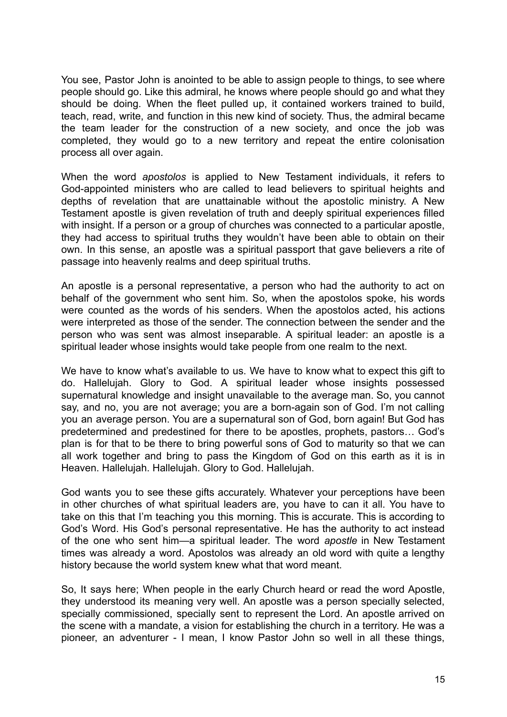You see, Pastor John is anointed to be able to assign people to things, to see where people should go. Like this admiral, he knows where people should go and what they should be doing. When the fleet pulled up, it contained workers trained to build, teach, read, write, and function in this new kind of society. Thus, the admiral became the team leader for the construction of a new society, and once the job was completed, they would go to a new territory and repeat the entire colonisation process all over again.

When the word *apostolos* is applied to New Testament individuals, it refers to God-appointed ministers who are called to lead believers to spiritual heights and depths of revelation that are unattainable without the apostolic ministry. A New Testament apostle is given revelation of truth and deeply spiritual experiences filled with insight. If a person or a group of churches was connected to a particular apostle, they had access to spiritual truths they wouldn't have been able to obtain on their own. In this sense, an apostle was a spiritual passport that gave believers a rite of passage into heavenly realms and deep spiritual truths.

An apostle is a personal representative, a person who had the authority to act on behalf of the government who sent him. So, when the apostolos spoke, his words were counted as the words of his senders. When the apostolos acted, his actions were interpreted as those of the sender. The connection between the sender and the person who was sent was almost inseparable. A spiritual leader: an apostle is a spiritual leader whose insights would take people from one realm to the next.

We have to know what's available to us. We have to know what to expect this gift to do. Hallelujah. Glory to God. A spiritual leader whose insights possessed supernatural knowledge and insight unavailable to the average man. So, you cannot say, and no, you are not average; you are a born-again son of God. I'm not calling you an average person. You are a supernatural son of God, born again! But God has predetermined and predestined for there to be apostles, prophets, pastors… God's plan is for that to be there to bring powerful sons of God to maturity so that we can all work together and bring to pass the Kingdom of God on this earth as it is in Heaven. Hallelujah. Hallelujah. Glory to God. Hallelujah.

God wants you to see these gifts accurately. Whatever your perceptions have been in other churches of what spiritual leaders are, you have to can it all. You have to take on this that I'm teaching you this morning. This is accurate. This is according to God's Word. His God's personal representative. He has the authority to act instead of the one who sent him—a spiritual leader. The word *apostle* in New Testament times was already a word. Apostolos was already an old word with quite a lengthy history because the world system knew what that word meant.

So, It says here; When people in the early Church heard or read the word Apostle, they understood its meaning very well. An apostle was a person specially selected, specially commissioned, specially sent to represent the Lord. An apostle arrived on the scene with a mandate, a vision for establishing the church in a territory. He was a pioneer, an adventurer - I mean, I know Pastor John so well in all these things,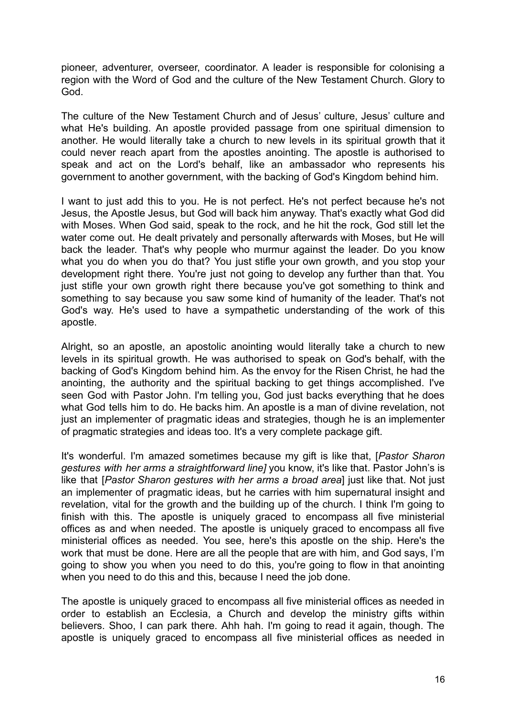pioneer, adventurer, overseer, coordinator. A leader is responsible for colonising a region with the Word of God and the culture of the New Testament Church. Glory to God.

The culture of the New Testament Church and of Jesus' culture, Jesus' culture and what He's building. An apostle provided passage from one spiritual dimension to another. He would literally take a church to new levels in its spiritual growth that it could never reach apart from the apostles anointing. The apostle is authorised to speak and act on the Lord's behalf, like an ambassador who represents his government to another government, with the backing of God's Kingdom behind him.

I want to just add this to you. He is not perfect. He's not perfect because he's not Jesus, the Apostle Jesus, but God will back him anyway. That's exactly what God did with Moses. When God said, speak to the rock, and he hit the rock, God still let the water come out. He dealt privately and personally afterwards with Moses, but He will back the leader. That's why people who murmur against the leader. Do you know what you do when you do that? You just stifle your own growth, and you stop your development right there. You're just not going to develop any further than that. You just stifle your own growth right there because you've got something to think and something to say because you saw some kind of humanity of the leader. That's not God's way. He's used to have a sympathetic understanding of the work of this apostle.

Alright, so an apostle, an apostolic anointing would literally take a church to new levels in its spiritual growth. He was authorised to speak on God's behalf, with the backing of God's Kingdom behind him. As the envoy for the Risen Christ, he had the anointing, the authority and the spiritual backing to get things accomplished. I've seen God with Pastor John. I'm telling you, God just backs everything that he does what God tells him to do. He backs him. An apostle is a man of divine revelation, not just an implementer of pragmatic ideas and strategies, though he is an implementer of pragmatic strategies and ideas too. It's a very complete package gift.

It's wonderful. I'm amazed sometimes because my gift is like that, [*Pastor Sharon gestures with her arms a straightforward line]* you know, it's like that. Pastor John's is like that [*Pastor Sharon gestures with her arms a broad area*] just like that. Not just an implementer of pragmatic ideas, but he carries with him supernatural insight and revelation, vital for the growth and the building up of the church. I think I'm going to finish with this. The apostle is uniquely graced to encompass all five ministerial offices as and when needed. The apostle is uniquely graced to encompass all five ministerial offices as needed. You see, here's this apostle on the ship. Here's the work that must be done. Here are all the people that are with him, and God says, I'm going to show you when you need to do this, you're going to flow in that anointing when you need to do this and this, because I need the job done.

The apostle is uniquely graced to encompass all five ministerial offices as needed in order to establish an Ecclesia, a Church and develop the ministry gifts within believers. Shoo, I can park there. Ahh hah. I'm going to read it again, though. The apostle is uniquely graced to encompass all five ministerial offices as needed in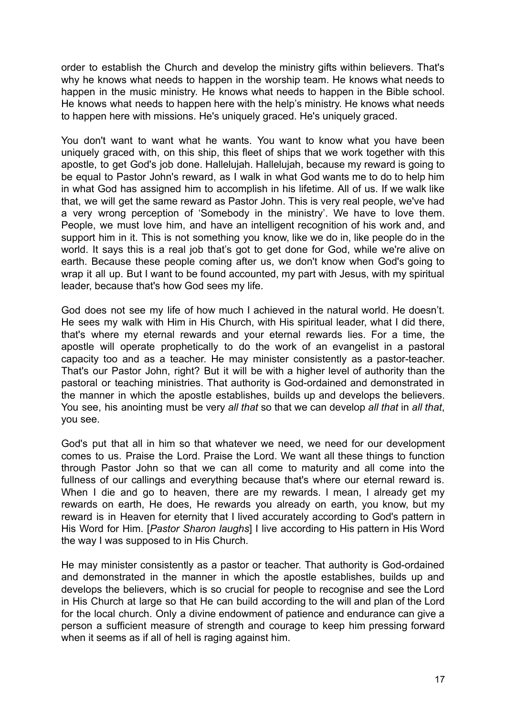order to establish the Church and develop the ministry gifts within believers. That's why he knows what needs to happen in the worship team. He knows what needs to happen in the music ministry. He knows what needs to happen in the Bible school. He knows what needs to happen here with the help's ministry. He knows what needs to happen here with missions. He's uniquely graced. He's uniquely graced.

You don't want to want what he wants. You want to know what you have been uniquely graced with, on this ship, this fleet of ships that we work together with this apostle, to get God's job done. Hallelujah. Hallelujah, because my reward is going to be equal to Pastor John's reward, as I walk in what God wants me to do to help him in what God has assigned him to accomplish in his lifetime. All of us. If we walk like that, we will get the same reward as Pastor John. This is very real people, we've had a very wrong perception of 'Somebody in the ministry'. We have to love them. People, we must love him, and have an intelligent recognition of his work and, and support him in it. This is not something you know, like we do in, like people do in the world. It says this is a real job that's got to get done for God, while we're alive on earth. Because these people coming after us, we don't know when God's going to wrap it all up. But I want to be found accounted, my part with Jesus, with my spiritual leader, because that's how God sees my life.

God does not see my life of how much I achieved in the natural world. He doesn't. He sees my walk with Him in His Church, with His spiritual leader, what I did there, that's where my eternal rewards and your eternal rewards lies. For a time, the apostle will operate prophetically to do the work of an evangelist in a pastoral capacity too and as a teacher. He may minister consistently as a pastor-teacher. That's our Pastor John, right? But it will be with a higher level of authority than the pastoral or teaching ministries. That authority is God-ordained and demonstrated in the manner in which the apostle establishes, builds up and develops the believers. You see, his anointing must be very *all that* so that we can develop *all that* in *all that*, you see.

God's put that all in him so that whatever we need, we need for our development comes to us. Praise the Lord. Praise the Lord. We want all these things to function through Pastor John so that we can all come to maturity and all come into the fullness of our callings and everything because that's where our eternal reward is. When I die and go to heaven, there are my rewards. I mean, I already get my rewards on earth, He does, He rewards you already on earth, you know, but my reward is in Heaven for eternity that I lived accurately according to God's pattern in His Word for Him. [*Pastor Sharon laughs*] I live according to His pattern in His Word the way I was supposed to in His Church.

He may minister consistently as a pastor or teacher. That authority is God-ordained and demonstrated in the manner in which the apostle establishes, builds up and develops the believers, which is so crucial for people to recognise and see the Lord in His Church at large so that He can build according to the will and plan of the Lord for the local church. Only a divine endowment of patience and endurance can give a person a sufficient measure of strength and courage to keep him pressing forward when it seems as if all of hell is raging against him.